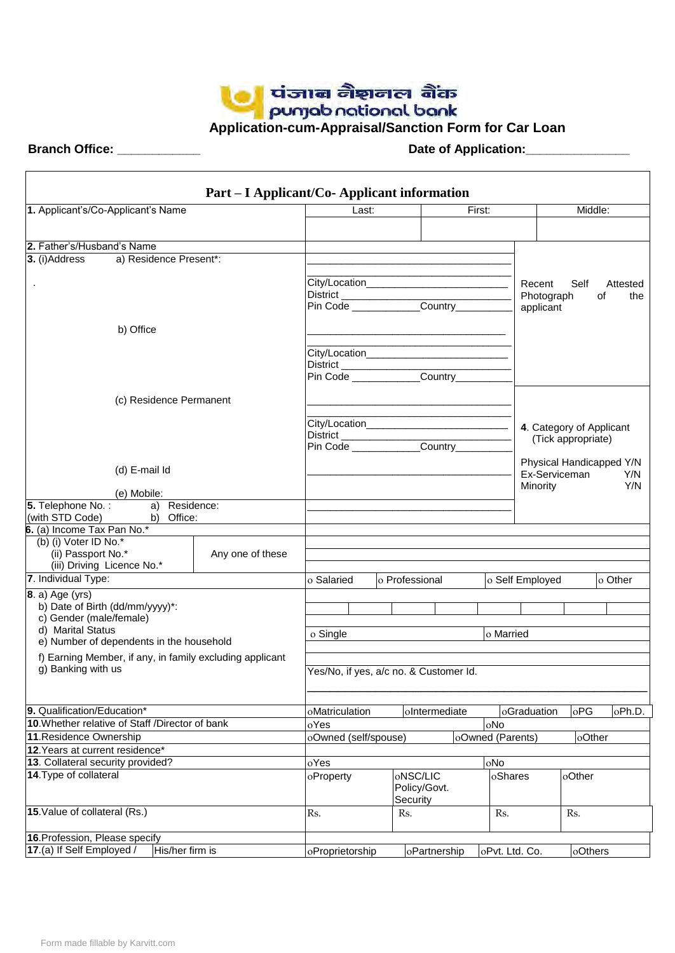

 $\Gamma$ 

 **Branch Office: \_\_\_\_\_\_\_\_\_\_\_\_ Date of Application:\_\_\_\_\_\_\_\_\_\_\_\_\_\_\_**

 $\overline{\phantom{a}}$ 

|                                                            | Part – I Applicant/Co-Applicant information |                      |  |                                               |                  |                 |                          |                          |
|------------------------------------------------------------|---------------------------------------------|----------------------|--|-----------------------------------------------|------------------|-----------------|--------------------------|--------------------------|
| 1. Applicant's/Co-Applicant's Name                         |                                             | First:<br>Last:      |  |                                               | Middle:          |                 |                          |                          |
|                                                            |                                             |                      |  |                                               |                  |                 |                          |                          |
| 2. Father's/Husband's Name                                 |                                             |                      |  |                                               |                  |                 |                          |                          |
| a) Residence Present*:<br>3. (i)Address                    |                                             |                      |  |                                               |                  |                 |                          |                          |
|                                                            |                                             |                      |  |                                               |                  |                 |                          |                          |
|                                                            |                                             |                      |  | City/Location________________________________ |                  | Recent          | Self                     | Attested                 |
|                                                            |                                             |                      |  |                                               |                  | Photograph      |                          | of<br>the                |
|                                                            |                                             |                      |  |                                               |                  | applicant       |                          |                          |
|                                                            |                                             |                      |  |                                               |                  |                 |                          |                          |
| b) Office                                                  |                                             |                      |  |                                               |                  |                 |                          |                          |
|                                                            |                                             |                      |  |                                               |                  |                 |                          |                          |
|                                                            |                                             | District             |  | <u> 1989 - Johann Barbara, martin d</u>       |                  |                 |                          |                          |
|                                                            |                                             |                      |  | Pin Code Country                              |                  |                 |                          |                          |
|                                                            |                                             |                      |  |                                               |                  |                 |                          |                          |
| (c) Residence Permanent                                    |                                             |                      |  |                                               |                  |                 |                          |                          |
|                                                            |                                             |                      |  |                                               |                  |                 |                          |                          |
|                                                            |                                             |                      |  |                                               |                  |                 | 4. Category of Applicant |                          |
|                                                            |                                             |                      |  |                                               |                  |                 | (Tick appropriate)       |                          |
|                                                            |                                             |                      |  | Pin Code ____________Country______            |                  |                 |                          |                          |
| (d) E-mail Id                                              |                                             |                      |  |                                               |                  |                 |                          | Physical Handicapped Y/N |
|                                                            |                                             |                      |  |                                               |                  | Ex-Serviceman   |                          | Y/N<br>Y/N               |
| (e) Mobile:                                                |                                             |                      |  |                                               |                  | Minority        |                          |                          |
| 5. Telephone No.: a) Residence:                            |                                             |                      |  |                                               |                  |                 |                          |                          |
| (with STD Code)<br>b) Office:                              |                                             |                      |  |                                               |                  |                 |                          |                          |
| 6. (a) Income Tax Pan No.*                                 |                                             |                      |  |                                               |                  |                 |                          |                          |
| (b) (i) Voter ID No.*                                      |                                             |                      |  |                                               |                  |                 |                          |                          |
| (ii) Passport No.*                                         | Any one of these                            |                      |  |                                               |                  |                 |                          |                          |
| (iii) Driving Licence No.*                                 |                                             |                      |  |                                               |                  |                 |                          |                          |
| 7. Individual Type:                                        |                                             | o Salaried           |  | o Professional                                |                  | o Self Employed |                          | lo Other                 |
| $\vert$ 8. a) Age (yrs)                                    |                                             |                      |  |                                               |                  |                 |                          |                          |
| b) Date of Birth (dd/mm/yyyy)*:<br>c) Gender (male/female) |                                             |                      |  |                                               |                  |                 |                          |                          |
| d) Marital Status                                          |                                             |                      |  |                                               |                  |                 |                          |                          |
| e) Number of dependents in the household                   |                                             | o Single             |  |                                               | o Married        |                 |                          |                          |
| f) Earning Member, if any, in family excluding applicant   |                                             |                      |  |                                               |                  |                 |                          |                          |
| g) Banking with us                                         |                                             |                      |  | Yes/No, if yes, a/c no. & Customer Id.        |                  |                 |                          |                          |
|                                                            |                                             |                      |  |                                               |                  |                 |                          |                          |
|                                                            |                                             |                      |  |                                               |                  |                 |                          |                          |
| 9. Qualification/Education*                                |                                             | oMatriculation       |  | oIntermediate                                 |                  | oGraduation     | oPG                      | oPh.D.                   |
| 10. Whether relative of Staff /Director of bank            |                                             | oYes                 |  |                                               | oNo              |                 |                          |                          |
| 11. Residence Ownership                                    |                                             | oOwned (self/spouse) |  |                                               | oOwned (Parents) |                 | oOther                   |                          |
| 12. Years at current residence*                            |                                             |                      |  |                                               |                  |                 |                          |                          |
| 13. Collateral security provided?                          |                                             | oYes                 |  |                                               | oNo              |                 |                          |                          |
| 14. Type of collateral                                     |                                             | oProperty            |  | oNSC/LIC                                      | oShares          |                 | oOther                   |                          |
|                                                            |                                             |                      |  | Policy/Govt.                                  |                  |                 |                          |                          |
|                                                            |                                             |                      |  | Security                                      |                  |                 |                          |                          |
| 15. Value of collateral (Rs.)                              |                                             | Rs.                  |  | Rs.                                           | Rs.              |                 | Rs.                      |                          |
|                                                            |                                             |                      |  |                                               |                  |                 |                          |                          |
| 16. Profession, Please specify                             |                                             |                      |  |                                               |                  |                 |                          |                          |
| 17.(a) If Self Employed /<br>His/her firm is               |                                             | oProprietorship      |  | oPartnership                                  | oPvt. Ltd. Co.   |                 | oOthers                  |                          |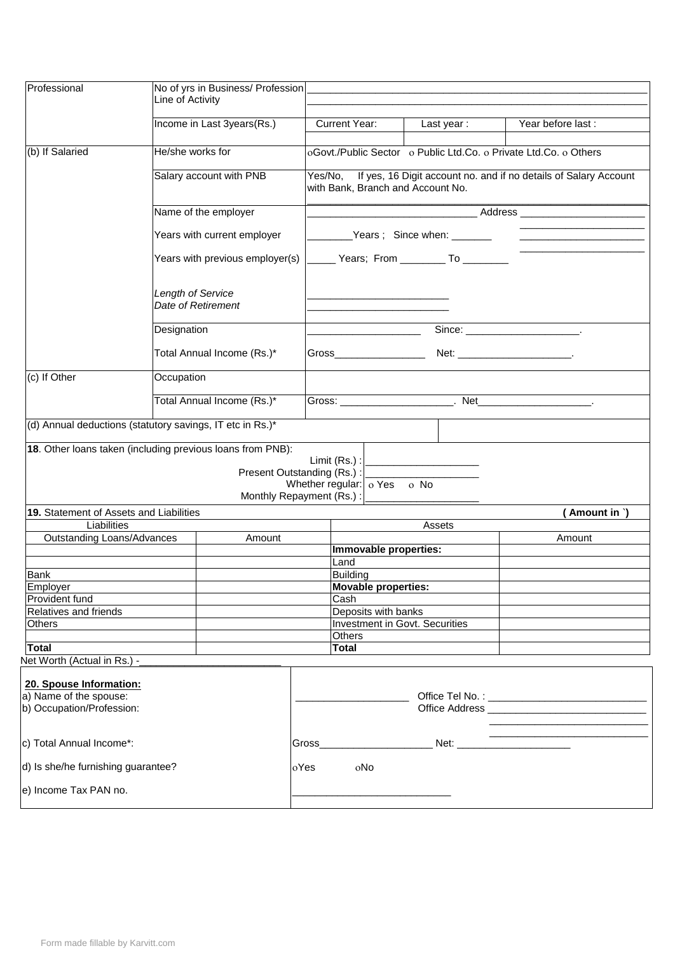| Professional                                               | Line of Activity        | No of yrs in Business/ Profession |        |                                                                                                               |                                                    |                                                                                                                                                                                                                                      |  |  |
|------------------------------------------------------------|-------------------------|-----------------------------------|--------|---------------------------------------------------------------------------------------------------------------|----------------------------------------------------|--------------------------------------------------------------------------------------------------------------------------------------------------------------------------------------------------------------------------------------|--|--|
|                                                            |                         | Income in Last 3years(Rs.)        |        | <b>Current Year:</b>                                                                                          | Last year:                                         | Year before last:                                                                                                                                                                                                                    |  |  |
| (b) If Salaried                                            | He/she works for        |                                   |        |                                                                                                               |                                                    | oGovt./Public Sector o Public Ltd.Co. o Private Ltd.Co. o Others                                                                                                                                                                     |  |  |
|                                                            | Salary account with PNB |                                   |        | Yes/No, If yes, 16 Digit account no. and if no details of Salary Account<br>with Bank, Branch and Account No. |                                                    |                                                                                                                                                                                                                                      |  |  |
|                                                            |                         | Name of the employer              |        |                                                                                                               |                                                    | _____________Address _________________                                                                                                                                                                                               |  |  |
|                                                            |                         | Years with current employer       |        |                                                                                                               |                                                    |                                                                                                                                                                                                                                      |  |  |
|                                                            |                         | Years with previous employer(s)   |        |                                                                                                               | Vears; From ______________ To __________           |                                                                                                                                                                                                                                      |  |  |
|                                                            | Length of Service       | Date of Retirement                |        |                                                                                                               |                                                    |                                                                                                                                                                                                                                      |  |  |
|                                                            | Designation             |                                   |        |                                                                                                               |                                                    | $Since: \_$                                                                                                                                                                                                                          |  |  |
|                                                            |                         | Total Annual Income (Rs.)*        |        | Gross__________________                                                                                       |                                                    |                                                                                                                                                                                                                                      |  |  |
| (c) If Other                                               | Occupation              |                                   |        |                                                                                                               |                                                    |                                                                                                                                                                                                                                      |  |  |
|                                                            |                         | Total Annual Income (Rs.)*        |        |                                                                                                               |                                                    |                                                                                                                                                                                                                                      |  |  |
| (d) Annual deductions (statutory savings, IT etc in Rs.)*  |                         |                                   |        |                                                                                                               |                                                    |                                                                                                                                                                                                                                      |  |  |
| 18. Other loans taken (including previous loans from PNB): |                         |                                   |        |                                                                                                               |                                                    |                                                                                                                                                                                                                                      |  |  |
|                                                            |                         | Present Outstanding (Rs.) :       |        |                                                                                                               | Limit (Rs.) : <u>  _ _ _ _ _ _ _ _ _ _ _ _ _ _</u> |                                                                                                                                                                                                                                      |  |  |
|                                                            |                         | Monthly Repayment (Rs.) :         |        | Whether regular: $\int_0^1$ o Yes o No                                                                        |                                                    |                                                                                                                                                                                                                                      |  |  |
| 19. Statement of Assets and Liabilities                    |                         |                                   |        |                                                                                                               |                                                    | (Amount in `)                                                                                                                                                                                                                        |  |  |
| Liabilities                                                |                         |                                   |        |                                                                                                               | Assets                                             |                                                                                                                                                                                                                                      |  |  |
| <b>Outstanding Loans/Advances</b>                          |                         | Amount                            |        | Immovable properties:                                                                                         |                                                    | Amount                                                                                                                                                                                                                               |  |  |
|                                                            |                         |                                   |        | Land                                                                                                          |                                                    |                                                                                                                                                                                                                                      |  |  |
| Bank                                                       |                         |                                   |        | <b>Building</b>                                                                                               |                                                    |                                                                                                                                                                                                                                      |  |  |
| Employer                                                   |                         |                                   |        | <b>Movable properties:</b>                                                                                    |                                                    |                                                                                                                                                                                                                                      |  |  |
| Provident fund                                             |                         |                                   |        | Cash                                                                                                          |                                                    |                                                                                                                                                                                                                                      |  |  |
| Relatives and friends<br><b>Others</b>                     |                         |                                   |        | Deposits with banks<br>Investment in Govt. Securities                                                         |                                                    |                                                                                                                                                                                                                                      |  |  |
|                                                            |                         |                                   |        | Others                                                                                                        |                                                    |                                                                                                                                                                                                                                      |  |  |
| <b>Total</b>                                               |                         |                                   |        | <b>Total</b>                                                                                                  |                                                    |                                                                                                                                                                                                                                      |  |  |
| Net Worth (Actual in Rs.) -                                |                         |                                   |        |                                                                                                               |                                                    |                                                                                                                                                                                                                                      |  |  |
|                                                            |                         |                                   |        |                                                                                                               |                                                    |                                                                                                                                                                                                                                      |  |  |
| 20. Spouse Information:                                    |                         |                                   |        |                                                                                                               |                                                    |                                                                                                                                                                                                                                      |  |  |
| a) Name of the spouse:<br>b) Occupation/Profession:        |                         |                                   |        |                                                                                                               |                                                    |                                                                                                                                                                                                                                      |  |  |
| c) Total Annual Income*:                                   |                         |                                   | Gross_ |                                                                                                               |                                                    | <u> 1989 - Johann John Harry Harry Harry Harry Harry Harry Harry Harry Harry Harry Harry Harry Harry Harry Harry Harry Harry Harry Harry Harry Harry Harry Harry Harry Harry Harry Harry Harry Harry Harry Harry Harry Harry Har</u> |  |  |
| d) Is she/he furnishing guarantee?                         |                         |                                   | oYes   | oNo                                                                                                           |                                                    |                                                                                                                                                                                                                                      |  |  |
| e) Income Tax PAN no.                                      |                         |                                   |        |                                                                                                               |                                                    |                                                                                                                                                                                                                                      |  |  |
|                                                            |                         |                                   |        |                                                                                                               |                                                    |                                                                                                                                                                                                                                      |  |  |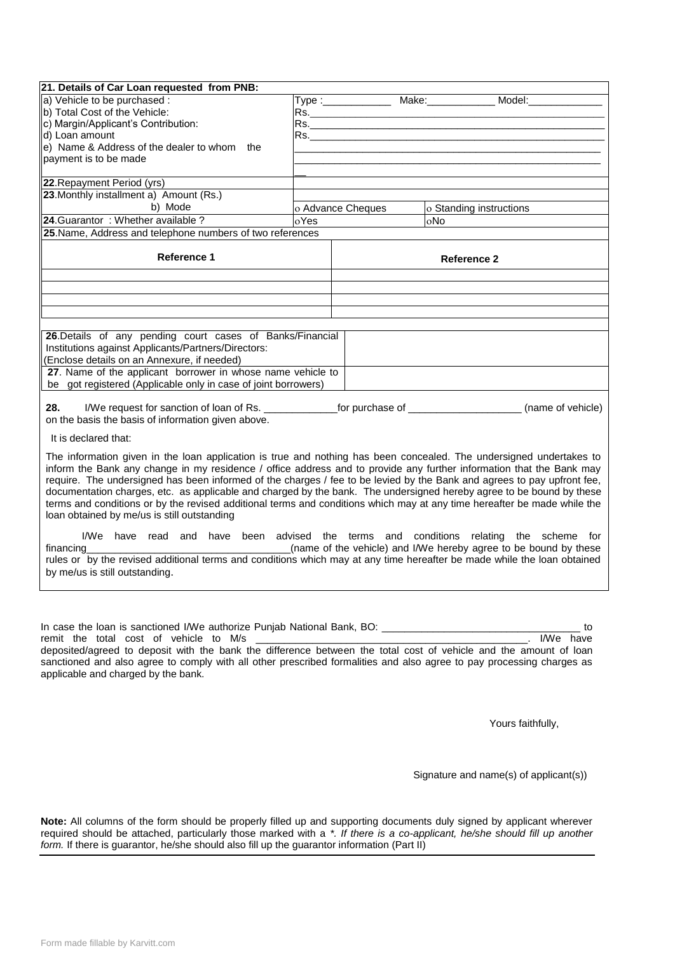| 21. Details of Car Loan requested from PNB:                                                                                     |      |                                                                                                                                                                                                                                |                         |                                                                  |  |  |
|---------------------------------------------------------------------------------------------------------------------------------|------|--------------------------------------------------------------------------------------------------------------------------------------------------------------------------------------------------------------------------------|-------------------------|------------------------------------------------------------------|--|--|
| a) Vehicle to be purchased :                                                                                                    |      |                                                                                                                                                                                                                                |                         | Type :_________________ Make:______________ Model:___________    |  |  |
| b) Total Cost of the Vehicle:                                                                                                   |      |                                                                                                                                                                                                                                |                         |                                                                  |  |  |
| c) Margin/Applicant's Contribution:                                                                                             |      |                                                                                                                                                                                                                                |                         |                                                                  |  |  |
| d) Loan amount                                                                                                                  |      | Rs. In the contract of the contract of the contract of the contract of the contract of the contract of the contract of the contract of the contract of the contract of the contract of the contract of the contract of the con |                         |                                                                  |  |  |
| $\vert$ e) Name & Address of the dealer to whom the                                                                             |      |                                                                                                                                                                                                                                |                         |                                                                  |  |  |
| payment is to be made                                                                                                           |      |                                                                                                                                                                                                                                |                         |                                                                  |  |  |
|                                                                                                                                 |      |                                                                                                                                                                                                                                |                         |                                                                  |  |  |
| 22. Repayment Period (yrs)                                                                                                      |      |                                                                                                                                                                                                                                |                         |                                                                  |  |  |
| 23. Monthly installment a) Amount (Rs.)                                                                                         |      |                                                                                                                                                                                                                                |                         |                                                                  |  |  |
| b) Mode                                                                                                                         |      | o Advance Cheques                                                                                                                                                                                                              | o Standing instructions |                                                                  |  |  |
| 24. Guarantor: Whether available ?                                                                                              | oYes |                                                                                                                                                                                                                                | oNo                     |                                                                  |  |  |
| 25. Name, Address and telephone numbers of two references                                                                       |      |                                                                                                                                                                                                                                |                         |                                                                  |  |  |
|                                                                                                                                 |      |                                                                                                                                                                                                                                |                         |                                                                  |  |  |
| <b>Reference 1</b>                                                                                                              |      |                                                                                                                                                                                                                                | Reference 2             |                                                                  |  |  |
|                                                                                                                                 |      |                                                                                                                                                                                                                                |                         |                                                                  |  |  |
|                                                                                                                                 |      |                                                                                                                                                                                                                                |                         |                                                                  |  |  |
|                                                                                                                                 |      |                                                                                                                                                                                                                                |                         |                                                                  |  |  |
|                                                                                                                                 |      |                                                                                                                                                                                                                                |                         |                                                                  |  |  |
|                                                                                                                                 |      |                                                                                                                                                                                                                                |                         |                                                                  |  |  |
| 26. Details of any pending court cases of Banks/Financial                                                                       |      |                                                                                                                                                                                                                                |                         |                                                                  |  |  |
| Institutions against Applicants/Partners/Directors:                                                                             |      |                                                                                                                                                                                                                                |                         |                                                                  |  |  |
| (Enclose details on an Annexure, if needed)                                                                                     |      |                                                                                                                                                                                                                                |                         |                                                                  |  |  |
| 27. Name of the applicant borrower in whose name vehicle to                                                                     |      |                                                                                                                                                                                                                                |                         |                                                                  |  |  |
| be got registered (Applicable only in case of joint borrowers)                                                                  |      |                                                                                                                                                                                                                                |                         |                                                                  |  |  |
|                                                                                                                                 |      |                                                                                                                                                                                                                                |                         |                                                                  |  |  |
| 28.<br>I/We request for sanction of loan of Rs. _________________for purchase of _________________________<br>(name of vehicle) |      |                                                                                                                                                                                                                                |                         |                                                                  |  |  |
| on the basis the basis of information given above.                                                                              |      |                                                                                                                                                                                                                                |                         |                                                                  |  |  |
|                                                                                                                                 |      |                                                                                                                                                                                                                                |                         |                                                                  |  |  |
| It is declared that:                                                                                                            |      |                                                                                                                                                                                                                                |                         |                                                                  |  |  |
| The information given in the loan application is true and nothing has been concealed. The undersigned undertakes to             |      |                                                                                                                                                                                                                                |                         |                                                                  |  |  |
| inform the Bank any change in my residence / office address and to provide any further information that the Bank may            |      |                                                                                                                                                                                                                                |                         |                                                                  |  |  |
| require. The undersigned has been informed of the charges / fee to be levied by the Bank and agrees to pay upfront fee,         |      |                                                                                                                                                                                                                                |                         |                                                                  |  |  |
| documentation charges, etc. as applicable and charged by the bank. The undersigned hereby agree to be bound by these            |      |                                                                                                                                                                                                                                |                         |                                                                  |  |  |
| terms and conditions or by the revised additional terms and conditions which may at any time hereafter be made while the        |      |                                                                                                                                                                                                                                |                         |                                                                  |  |  |
| loan obtained by me/us is still outstanding                                                                                     |      |                                                                                                                                                                                                                                |                         |                                                                  |  |  |
|                                                                                                                                 |      |                                                                                                                                                                                                                                |                         |                                                                  |  |  |
| I/We have read and have been advised the terms and conditions relating the scheme for                                           |      |                                                                                                                                                                                                                                |                         |                                                                  |  |  |
| financing                                                                                                                       |      |                                                                                                                                                                                                                                |                         | (name of the vehicle) and I/We hereby agree to be bound by these |  |  |
| rules or by the revised additional terms and conditions which may at any time hereafter be made while the loan obtained         |      |                                                                                                                                                                                                                                |                         |                                                                  |  |  |
| by me/us is still outstanding.                                                                                                  |      |                                                                                                                                                                                                                                |                         |                                                                  |  |  |
|                                                                                                                                 |      |                                                                                                                                                                                                                                |                         |                                                                  |  |  |

In case the loan is sanctioned I/We authorize Punjab National Bank, BO: \_\_\_\_\_\_\_\_\_\_\_\_\_\_\_\_\_\_\_\_\_\_\_\_\_\_\_\_\_\_\_\_\_\_\_ to remit the total cost of vehicle to M/s deposited/agreed to deposit with the bank the difference between the total cost of vehicle and the amount of loan sanctioned and also agree to comply with all other prescribed formalities and also agree to pay processing charges as applicable and charged by the bank.

Yours faithfully,

Signature and name(s) of applicant(s))

**Note:** All columns of the form should be properly filled up and supporting documents duly signed by applicant wherever required should be attached, particularly those marked with a *\*. If there is a co-applicant, he/she should fill up another form.* If there is guarantor, he/she should also fill up the guarantor information (Part II)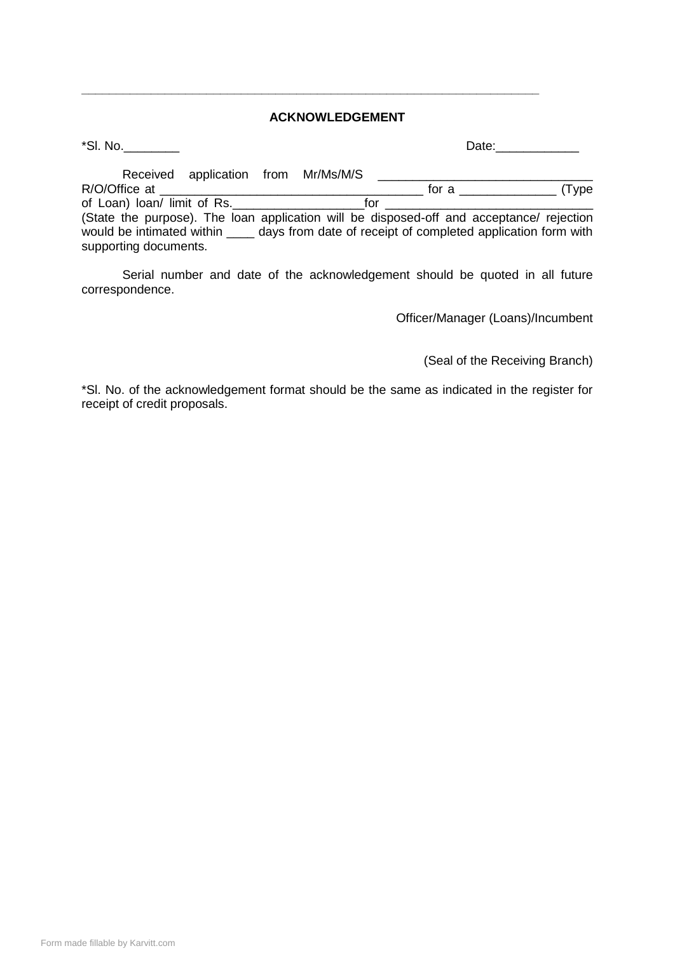#### **ACKNOWLEDGEMENT**

\*Sl. No.\_\_\_\_\_\_\_\_ Date:\_\_\_\_\_\_\_\_\_\_\_\_

**\_\_\_\_\_\_\_\_\_\_\_\_\_\_\_\_\_\_\_\_\_\_\_\_\_\_\_\_\_\_\_\_\_\_\_\_\_\_\_\_\_\_\_\_\_\_\_\_\_\_\_\_\_\_\_\_\_\_\_\_\_\_\_\_\_\_**

|                             | Received application from Mr/Ms/M/S |  |     |                                                                                          |
|-----------------------------|-------------------------------------|--|-----|------------------------------------------------------------------------------------------|
| R/O/Office at               |                                     |  |     | for a $\rule{1em}{0.15mm}$<br>(Type)                                                     |
| of Loan) loan/ limit of Rs. |                                     |  | tor |                                                                                          |
|                             |                                     |  |     | (State the purpose). The loan application will be disposed-off and acceptance/ rejection |
|                             |                                     |  |     | would be intimated within days from date of receipt of completed application form with   |
| supporting documents.       |                                     |  |     |                                                                                          |

Serial number and date of the acknowledgement should be quoted in all future correspondence.

Officer/Manager (Loans)/Incumbent

(Seal of the Receiving Branch)

\*Sl. No. of the acknowledgement format should be the same as indicated in the register for receipt of credit proposals.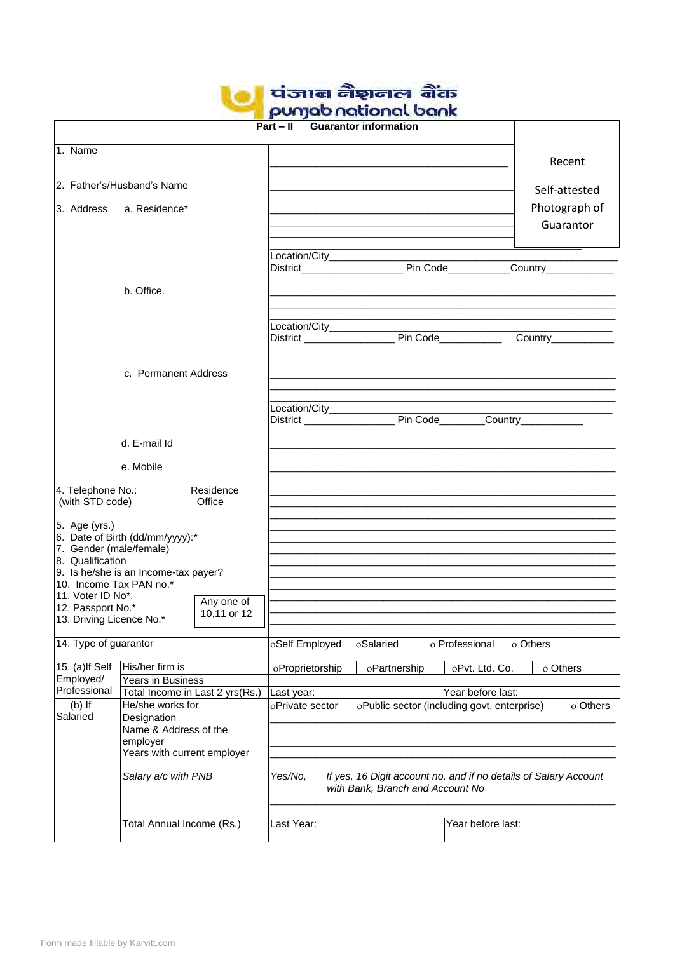| पंजाब नैशनल बैंक     |
|----------------------|
| punjab national bank |

|                                                                                                                    |                                                      |                                                                             | $Part - II$                      | <b>POLITUM LIGIGIOI IGN OGH IN</b><br><b>Guarantor information</b> |                                             |               |
|--------------------------------------------------------------------------------------------------------------------|------------------------------------------------------|-----------------------------------------------------------------------------|----------------------------------|--------------------------------------------------------------------|---------------------------------------------|---------------|
| 1. Name                                                                                                            |                                                      |                                                                             |                                  |                                                                    |                                             |               |
|                                                                                                                    |                                                      |                                                                             |                                  |                                                                    |                                             | Recent        |
|                                                                                                                    | 2. Father's/Husband's Name                           |                                                                             |                                  |                                                                    |                                             |               |
|                                                                                                                    |                                                      |                                                                             |                                  |                                                                    |                                             | Self-attested |
| 3. Address                                                                                                         | a. Residence*                                        |                                                                             |                                  |                                                                    |                                             | Photograph of |
|                                                                                                                    |                                                      |                                                                             |                                  |                                                                    |                                             | Guarantor     |
|                                                                                                                    |                                                      |                                                                             |                                  |                                                                    |                                             |               |
|                                                                                                                    |                                                      |                                                                             |                                  |                                                                    |                                             |               |
|                                                                                                                    | b. Office.                                           |                                                                             |                                  |                                                                    |                                             |               |
|                                                                                                                    |                                                      |                                                                             |                                  |                                                                    |                                             |               |
|                                                                                                                    |                                                      |                                                                             |                                  |                                                                    |                                             |               |
|                                                                                                                    |                                                      |                                                                             |                                  |                                                                    |                                             |               |
|                                                                                                                    |                                                      |                                                                             |                                  |                                                                    |                                             |               |
|                                                                                                                    | c. Permanent Address                                 |                                                                             |                                  |                                                                    |                                             |               |
|                                                                                                                    |                                                      |                                                                             |                                  |                                                                    |                                             |               |
|                                                                                                                    |                                                      |                                                                             | Location/City_____________       |                                                                    |                                             |               |
|                                                                                                                    |                                                      |                                                                             |                                  |                                                                    |                                             |               |
|                                                                                                                    | d. E-mail Id                                         |                                                                             |                                  |                                                                    |                                             |               |
|                                                                                                                    | e. Mobile                                            |                                                                             |                                  |                                                                    |                                             |               |
|                                                                                                                    |                                                      |                                                                             |                                  |                                                                    |                                             |               |
| 4. Telephone No.:<br>(with STD code)                                                                               | <b>Exercise</b> Office                               | Residence                                                                   |                                  |                                                                    |                                             |               |
|                                                                                                                    |                                                      |                                                                             |                                  |                                                                    |                                             |               |
| 5. Age (yrs.)                                                                                                      | 6. Date of Birth (dd/mm/yyyy):*                      |                                                                             |                                  |                                                                    |                                             |               |
| 7. Gender (male/female)                                                                                            |                                                      |                                                                             |                                  |                                                                    |                                             |               |
| 8. Qualification                                                                                                   | 9. Is he/she is an Income-tax payer?                 |                                                                             |                                  |                                                                    |                                             |               |
| 10. Income Tax PAN no.*                                                                                            |                                                      |                                                                             |                                  |                                                                    |                                             |               |
| 11. Voter ID No*.<br>12. Passport No.*                                                                             |                                                      | Any one of                                                                  |                                  |                                                                    |                                             |               |
| 13. Driving Licence No.*                                                                                           |                                                      | 10,11 or 12                                                                 |                                  |                                                                    |                                             |               |
| 14. Type of guarantor                                                                                              |                                                      |                                                                             | oSelf Employed                   | oSalaried                                                          | o Professional<br>o Others                  |               |
|                                                                                                                    |                                                      |                                                                             |                                  |                                                                    |                                             |               |
| 15. (a) If Self<br>Employed/                                                                                       | His/her firm is                                      |                                                                             | oProprietorship                  | oPartnership                                                       | oPvt. Ltd. Co.                              | o Others      |
| Professional                                                                                                       | Years in Business<br>Total Income in Last 2 yrs(Rs.) |                                                                             | Last year:                       |                                                                    | Year before last:                           |               |
| $(b)$ If                                                                                                           | He/she works for                                     |                                                                             | oPrivate sector                  |                                                                    | oPublic sector (including govt. enterprise) | o Others      |
| Salaried<br>Designation<br>Name & Address of the<br>employer<br>Years with current employer<br>Salary a/c with PNB |                                                      |                                                                             |                                  |                                                                    |                                             |               |
|                                                                                                                    |                                                      |                                                                             |                                  |                                                                    |                                             |               |
|                                                                                                                    |                                                      |                                                                             |                                  |                                                                    |                                             |               |
|                                                                                                                    |                                                      | Yes/No,<br>If yes, 16 Digit account no. and if no details of Salary Account |                                  |                                                                    |                                             |               |
|                                                                                                                    |                                                      |                                                                             | with Bank, Branch and Account No |                                                                    |                                             |               |
|                                                                                                                    |                                                      |                                                                             |                                  |                                                                    |                                             |               |
|                                                                                                                    | Total Annual Income (Rs.)                            |                                                                             | Last Year:                       |                                                                    | Year before last:                           |               |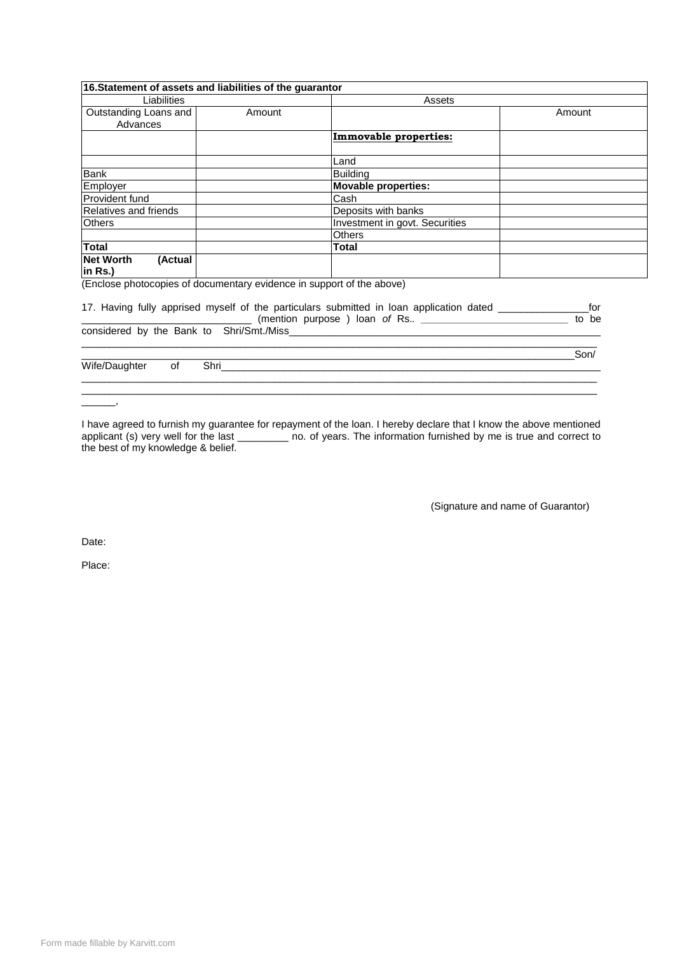|                              | 16. Statement of assets and liabilities of the guarantor              |                                                                                                    |        |  |
|------------------------------|-----------------------------------------------------------------------|----------------------------------------------------------------------------------------------------|--------|--|
| Liabilities                  |                                                                       | Assets                                                                                             |        |  |
| Outstanding Loans and        | Amount                                                                |                                                                                                    | Amount |  |
| Advances                     |                                                                       |                                                                                                    |        |  |
|                              |                                                                       | <b>Immovable properties:</b>                                                                       |        |  |
|                              |                                                                       |                                                                                                    |        |  |
|                              |                                                                       | Land                                                                                               |        |  |
| <b>Bank</b>                  |                                                                       | <b>Building</b>                                                                                    |        |  |
| Employer                     |                                                                       | <b>Movable properties:</b>                                                                         |        |  |
| Provident fund               |                                                                       | Cash                                                                                               |        |  |
| <b>Relatives and friends</b> |                                                                       | Deposits with banks                                                                                |        |  |
| <b>Others</b>                |                                                                       | Investment in govt. Securities                                                                     |        |  |
|                              |                                                                       | <b>Others</b>                                                                                      |        |  |
| <b>Total</b>                 |                                                                       | Total                                                                                              |        |  |
| Net Worth<br>(Actual         |                                                                       |                                                                                                    |        |  |
| in Rs.)                      |                                                                       |                                                                                                    |        |  |
|                              | (Enclose photocopies of documentary evidence in support of the above) |                                                                                                    |        |  |
|                              |                                                                       |                                                                                                    |        |  |
|                              |                                                                       | 17. Having fully apprised myself of the particulars submitted in loan application dated __________ | for    |  |
|                              |                                                                       |                                                                                                    | to be  |  |
|                              |                                                                       |                                                                                                    |        |  |
|                              |                                                                       |                                                                                                    | Son/   |  |
| Wife/Daughter<br>of          |                                                                       |                                                                                                    |        |  |
|                              |                                                                       |                                                                                                    |        |  |
|                              |                                                                       |                                                                                                    |        |  |
|                              |                                                                       |                                                                                                    |        |  |

I have agreed to furnish my guarantee for repayment of the loan. I hereby declare that I know the above mentioned applicant (s) very well for the last \_\_\_\_\_\_\_\_ no. of years. The information furnished by me is true and correct to the best of my knowledge & belief.

(Signature and name of Guarantor)

Date:

Place: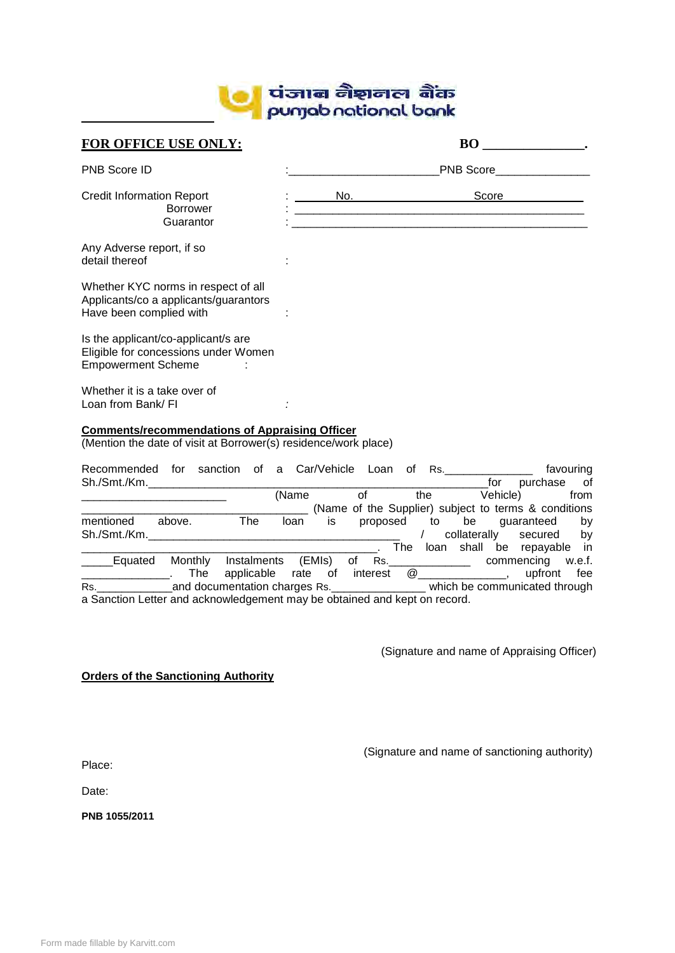

| FOR OFFICE USE ONLY:                                                                                                                                                                   |                                                                                                                                                                                                                                | BO                                                                              |
|----------------------------------------------------------------------------------------------------------------------------------------------------------------------------------------|--------------------------------------------------------------------------------------------------------------------------------------------------------------------------------------------------------------------------------|---------------------------------------------------------------------------------|
| <b>PNB Score ID</b>                                                                                                                                                                    |                                                                                                                                                                                                                                | <b>PNB Score EXAMPLE 2009</b>                                                   |
| <b>Credit Information Report</b><br><b>Borrower</b><br>Guarantor                                                                                                                       | No. And the contract of the contract of the contract of the contract of the contract of the contract of the contract of the contract of the contract of the contract of the contract of the contract of the contract of the co | Score <b>Secondary</b> Score <b>Score</b>                                       |
| Any Adverse report, if so<br>detail thereof                                                                                                                                            |                                                                                                                                                                                                                                |                                                                                 |
| Whether KYC norms in respect of all<br>Applicants/co a applicants/guarantors<br>Have been complied with                                                                                |                                                                                                                                                                                                                                |                                                                                 |
| Is the applicant/co-applicant/s are<br>Eligible for concessions under Women<br><b>Empowerment Scheme</b>                                                                               |                                                                                                                                                                                                                                |                                                                                 |
| Whether it is a take over of<br>Loan from Bank/ FI                                                                                                                                     |                                                                                                                                                                                                                                |                                                                                 |
| <b>Comments/recommendations of Appraising Officer</b><br>(Mention the date of visit at Borrower(s) residence/work place)                                                               |                                                                                                                                                                                                                                |                                                                                 |
| Recommended for sanction of a Car/Vehicle Loan of Rs.<br>Sh./Smt./Km.                                                                                                                  |                                                                                                                                                                                                                                | favouring<br>for<br>purchase<br>of                                              |
|                                                                                                                                                                                        | $of$ and $\overline{a}$<br>(Name                                                                                                                                                                                               | the Vehicle)<br>from<br>__ (Name of the Supplier) subject to terms & conditions |
| above. The<br>mentioned                                                                                                                                                                | proposed<br>loan is                                                                                                                                                                                                            | be guaranteed<br>to<br>by<br>collaterally<br>secured by                         |
| Equated Monthly Instalments (EMIs) of Rs. _____________ commencing w.e.f.<br><b>The</b><br>applicable<br>$\overline{\phantom{a}}$ . The contract of $\overline{\phantom{a}}$           | $interest \quad @ \qquad \qquad 0$<br>rate of                                                                                                                                                                                  | _. The loan shall be repayable in<br>upfront<br>fee                             |
| Rs. __________________and documentation charges Rs. _______________________ which be communicated through<br>a Sanction Letter and acknowledgement may be obtained and kept on record. |                                                                                                                                                                                                                                |                                                                                 |
|                                                                                                                                                                                        |                                                                                                                                                                                                                                |                                                                                 |

(Signature and name of Appraising Officer)

#### **Orders of the Sanctioning Authority**

(Signature and name of sanctioning authority)

Place:

Date:

**PNB 1055/2011**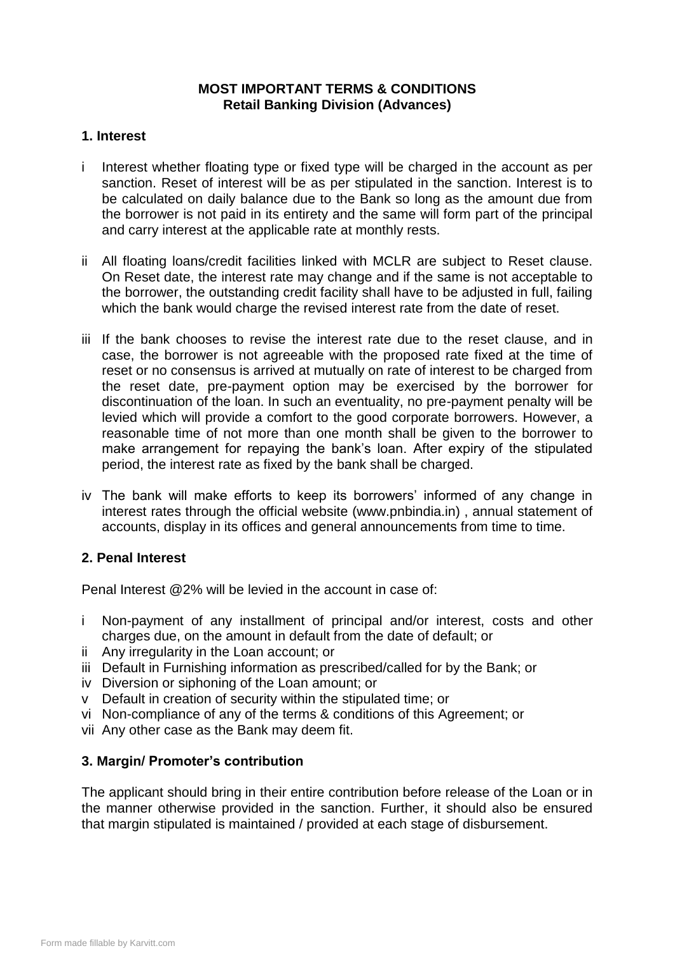# **MOST IMPORTANT TERMS & CONDITIONS Retail Banking Division (Advances)**

# **1. Interest**

- i Interest whether floating type or fixed type will be charged in the account as per sanction. Reset of interest will be as per stipulated in the sanction. Interest is to be calculated on daily balance due to the Bank so long as the amount due from the borrower is not paid in its entirety and the same will form part of the principal and carry interest at the applicable rate at monthly rests.
- ii All floating loans/credit facilities linked with MCLR are subject to Reset clause. On Reset date, the interest rate may change and if the same is not acceptable to the borrower, the outstanding credit facility shall have to be adjusted in full, failing which the bank would charge the revised interest rate from the date of reset.
- iii If the bank chooses to revise the interest rate due to the reset clause, and in case, the borrower is not agreeable with the proposed rate fixed at the time of reset or no consensus is arrived at mutually on rate of interest to be charged from the reset date, pre-payment option may be exercised by the borrower for discontinuation of the loan. In such an eventuality, no pre-payment penalty will be levied which will provide a comfort to the good corporate borrowers. However, a reasonable time of not more than one month shall be given to the borrower to make arrangement for repaying the bank"s loan. After expiry of the stipulated period, the interest rate as fixed by the bank shall be charged.
- iv The bank will make efforts to keep its borrowers' informed of any change in interest rates through the official website (www.pnbindia.in) , annual statement of accounts, display in its offices and general announcements from time to time.

# **2. Penal Interest**

Penal Interest @2% will be levied in the account in case of:

- i Non-payment of any installment of principal and/or interest, costs and other charges due, on the amount in default from the date of default; or
- ii Any irregularity in the Loan account; or
- iii Default in Furnishing information as prescribed/called for by the Bank; or
- iv Diversion or siphoning of the Loan amount; or
- v Default in creation of security within the stipulated time; or
- vi Non-compliance of any of the terms & conditions of this Agreement; or
- vii Any other case as the Bank may deem fit.

# **3. Margin/ Promoter"s contribution**

The applicant should bring in their entire contribution before release of the Loan or in the manner otherwise provided in the sanction. Further, it should also be ensured that margin stipulated is maintained / provided at each stage of disbursement.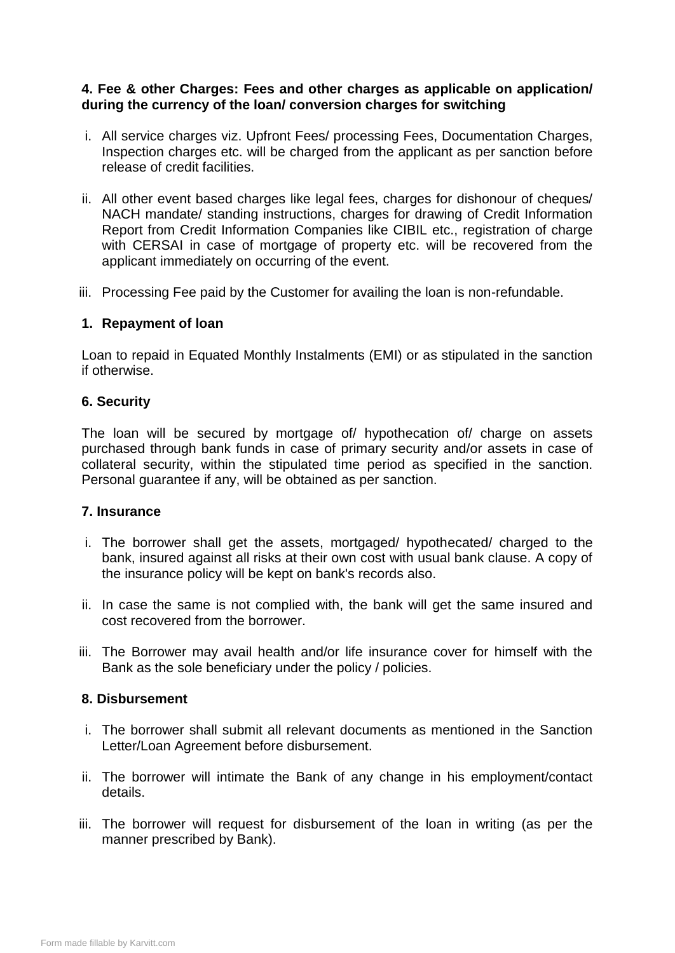# **4. Fee & other Charges: Fees and other charges as applicable on application/ during the currency of the loan/ conversion charges for switching**

- i. All service charges viz. Upfront Fees/ processing Fees, Documentation Charges, Inspection charges etc. will be charged from the applicant as per sanction before release of credit facilities.
- ii. All other event based charges like legal fees, charges for dishonour of cheques/ NACH mandate/ standing instructions, charges for drawing of Credit Information Report from Credit Information Companies like CIBIL etc., registration of charge with CERSAI in case of mortgage of property etc. will be recovered from the applicant immediately on occurring of the event.
- iii. Processing Fee paid by the Customer for availing the loan is non-refundable.

## **1. Repayment of loan**

Loan to repaid in Equated Monthly Instalments (EMI) or as stipulated in the sanction if otherwise.

## **6. Security**

The loan will be secured by mortgage of/ hypothecation of/ charge on assets purchased through bank funds in case of primary security and/or assets in case of collateral security, within the stipulated time period as specified in the sanction. Personal guarantee if any, will be obtained as per sanction.

#### **7. Insurance**

- i. The borrower shall get the assets, mortgaged/ hypothecated/ charged to the bank, insured against all risks at their own cost with usual bank clause. A copy of the insurance policy will be kept on bank's records also.
- ii. In case the same is not complied with, the bank will get the same insured and cost recovered from the borrower.
- iii. The Borrower may avail health and/or life insurance cover for himself with the Bank as the sole beneficiary under the policy / policies.

#### **8. Disbursement**

- i. The borrower shall submit all relevant documents as mentioned in the Sanction Letter/Loan Agreement before disbursement.
- ii. The borrower will intimate the Bank of any change in his employment/contact details.
- iii. The borrower will request for disbursement of the loan in writing (as per the manner prescribed by Bank).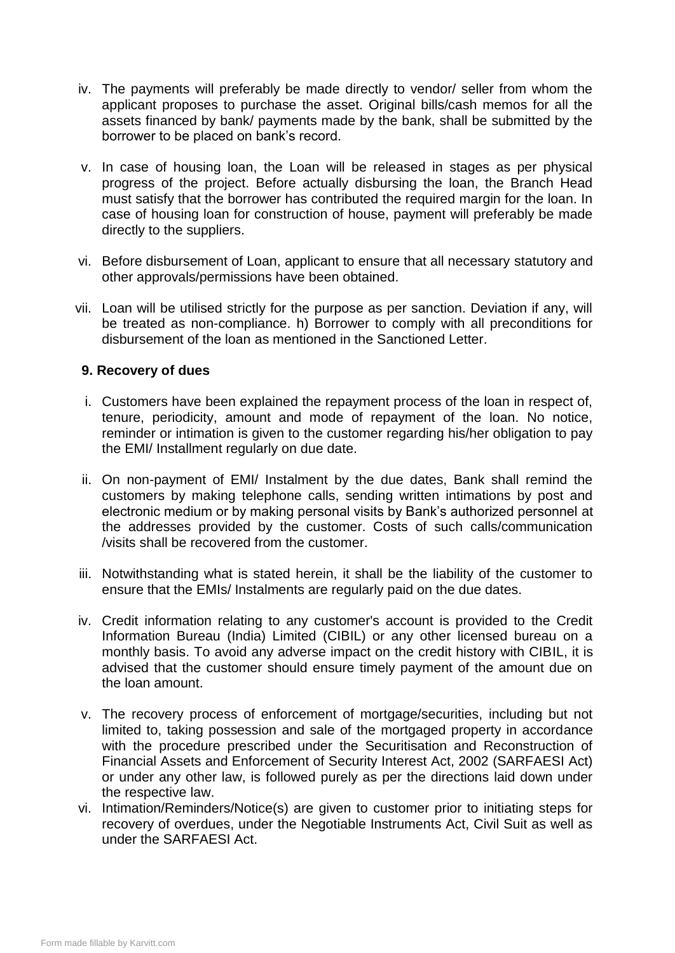- iv. The payments will preferably be made directly to vendor/ seller from whom the applicant proposes to purchase the asset. Original bills/cash memos for all the assets financed by bank/ payments made by the bank, shall be submitted by the borrower to be placed on bank"s record.
- v. In case of housing loan, the Loan will be released in stages as per physical progress of the project. Before actually disbursing the loan, the Branch Head must satisfy that the borrower has contributed the required margin for the loan. In case of housing loan for construction of house, payment will preferably be made directly to the suppliers.
- vi. Before disbursement of Loan, applicant to ensure that all necessary statutory and other approvals/permissions have been obtained.
- vii. Loan will be utilised strictly for the purpose as per sanction. Deviation if any, will be treated as non-compliance. h) Borrower to comply with all preconditions for disbursement of the loan as mentioned in the Sanctioned Letter.

## **9. Recovery of dues**

- i. Customers have been explained the repayment process of the loan in respect of, tenure, periodicity, amount and mode of repayment of the loan. No notice, reminder or intimation is given to the customer regarding his/her obligation to pay the EMI/ Installment regularly on due date.
- ii. On non-payment of EMI/ Instalment by the due dates, Bank shall remind the customers by making telephone calls, sending written intimations by post and electronic medium or by making personal visits by Bank"s authorized personnel at the addresses provided by the customer. Costs of such calls/communication /visits shall be recovered from the customer.
- iii. Notwithstanding what is stated herein, it shall be the liability of the customer to ensure that the EMIs/ Instalments are regularly paid on the due dates.
- iv. Credit information relating to any customer's account is provided to the Credit Information Bureau (India) Limited (CIBIL) or any other licensed bureau on a monthly basis. To avoid any adverse impact on the credit history with CIBIL, it is advised that the customer should ensure timely payment of the amount due on the loan amount.
- v. The recovery process of enforcement of mortgage/securities, including but not limited to, taking possession and sale of the mortgaged property in accordance with the procedure prescribed under the Securitisation and Reconstruction of Financial Assets and Enforcement of Security Interest Act, 2002 (SARFAESI Act) or under any other law, is followed purely as per the directions laid down under the respective law.
- vi. Intimation/Reminders/Notice(s) are given to customer prior to initiating steps for recovery of overdues, under the Negotiable Instruments Act, Civil Suit as well as under the SARFAESI Act.